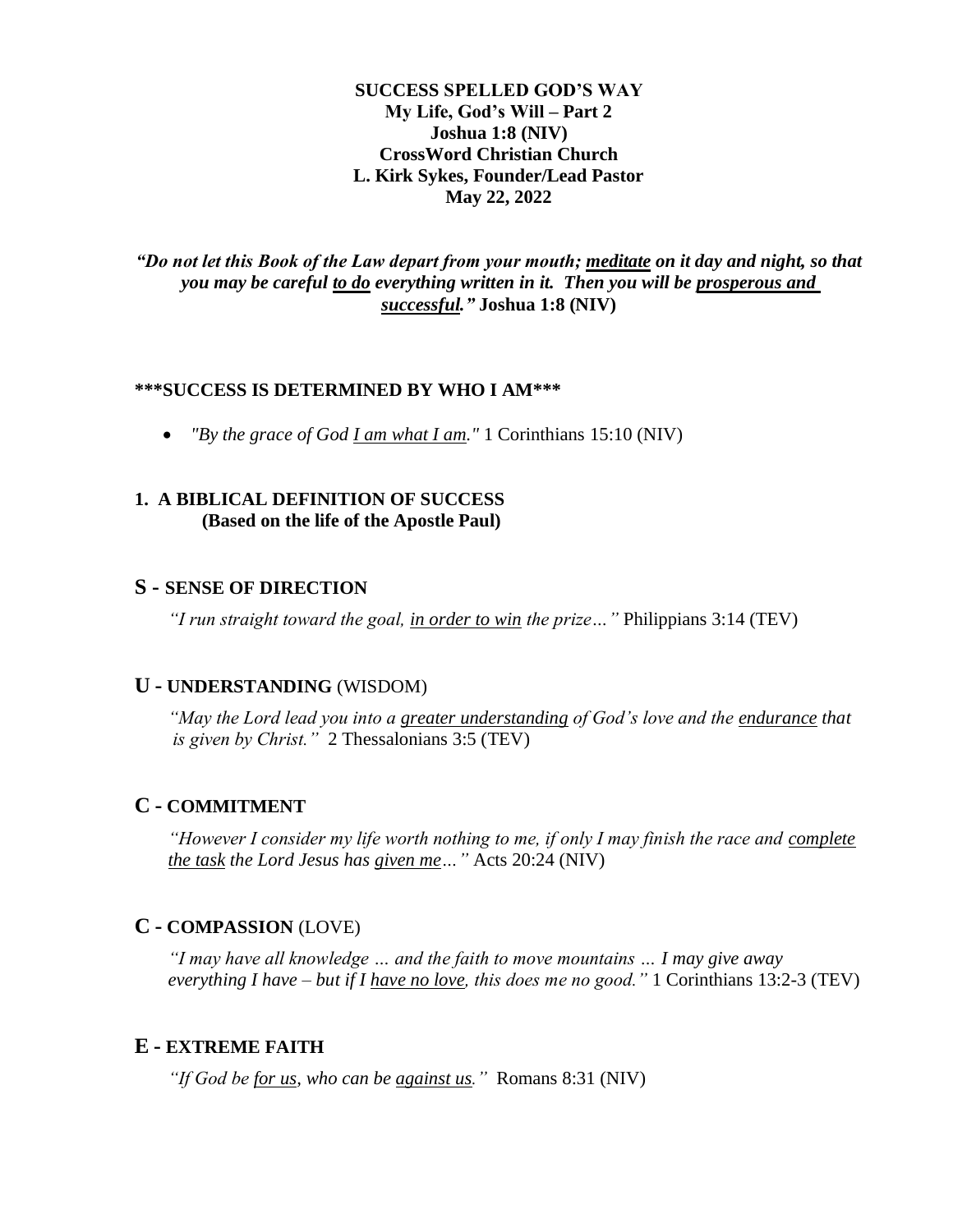**SUCCESS SPELLED GOD'S WAY My Life, God's Will – Part 2 Joshua 1:8 (NIV) CrossWord Christian Church L. Kirk Sykes, Founder/Lead Pastor May 22, 2022**

*"Do not let this Book of the Law depart from your mouth; meditate on it day and night, so that you may be careful to do everything written in it. Then you will be prosperous and successful."* **Joshua 1:8 (NIV)**

## **\*\*\*SUCCESS IS DETERMINED BY WHO I AM\*\*\***

• *"By the grace of God I am what I am."* 1 Corinthians 15:10 (NIV)

### **1. A BIBLICAL DEFINITION OF SUCCESS (Based on the life of the Apostle Paul)**

#### **S - SENSE OF DIRECTION**

*"I run straight toward the goal, in order to win the prize…"* Philippians 3:14 (TEV)

#### **U - UNDERSTANDING** (WISDOM)

*"May the Lord lead you into a greater understanding of God's love and the endurance that is given by Christ."* 2 Thessalonians 3:5 (TEV)

#### **C - COMMITMENT**

*"However I consider my life worth nothing to me, if only I may finish the race and complete the task the Lord Jesus has given me…"* Acts 20:24 (NIV)

# **C - COMPASSION** (LOVE)

*"I may have all knowledge … and the faith to move mountains … I may give away everything I have – but if I have no love, this does me no good."* 1 Corinthians 13:2-3 (TEV)

### **E - EXTREME FAITH**

*"If God be for us, who can be against us."* Romans 8:31 (NIV)